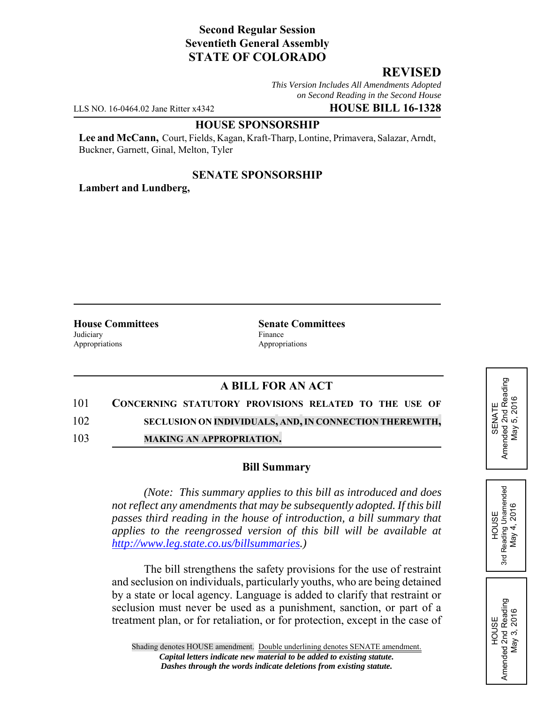# **Second Regular Session Seventieth General Assembly STATE OF COLORADO**

# **REVISED**

*This Version Includes All Amendments Adopted on Second Reading in the Second House*

LLS NO. 16-0464.02 Jane Ritter x4342 **HOUSE BILL 16-1328**

#### **HOUSE SPONSORSHIP**

**Lee and McCann,** Court, Fields, Kagan, Kraft-Tharp, Lontine, Primavera, Salazar, Arndt, Buckner, Garnett, Ginal, Melton, Tyler

### **SENATE SPONSORSHIP**

**Lambert and Lundberg,**

Judiciary Finance Appropriations Appropriations

**House Committees Senate Committees** 

# **A BILL FOR AN ACT**

101 **CONCERNING STATUTORY PROVISIONS RELATED TO THE USE OF**

102 **SECLUSION ON INDIVIDUALS, AND,IN CONNECTION THEREWITH,**

103 **MAKING AN APPROPRIATION.**

### **Bill Summary**

*(Note: This summary applies to this bill as introduced and does not reflect any amendments that may be subsequently adopted. If this bill passes third reading in the house of introduction, a bill summary that applies to the reengrossed version of this bill will be available at http://www.leg.state.co.us/billsummaries.)*

The bill strengthens the safety provisions for the use of restraint and seclusion on individuals, particularly youths, who are being detained by a state or local agency. Language is added to clarify that restraint or seclusion must never be used as a punishment, sanction, or part of a treatment plan, or for retaliation, or for protection, except in the case of SENATE<br>Amended 2nd Reading<br>May 5, 2016 Amended 2nd Reading May 5, 2016

HOUSE 3rd Reading Unamended May 4, 2016

Reading Unamended May 4, 2016

3rd

HOUSE Amended 2nd Reading May 3, 2016

Amended 2nd Reading<br>May 3, 2016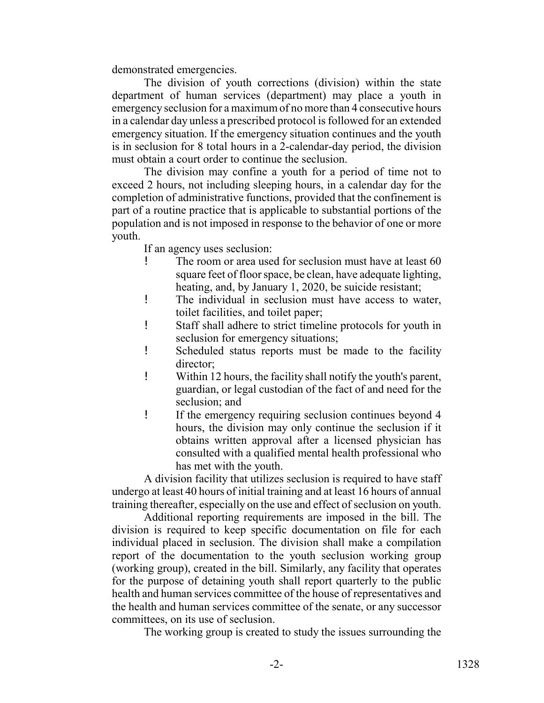demonstrated emergencies.

The division of youth corrections (division) within the state department of human services (department) may place a youth in emergency seclusion for a maximum of no more than 4 consecutive hours in a calendar day unless a prescribed protocol is followed for an extended emergency situation. If the emergency situation continues and the youth is in seclusion for 8 total hours in a 2-calendar-day period, the division must obtain a court order to continue the seclusion.

The division may confine a youth for a period of time not to exceed 2 hours, not including sleeping hours, in a calendar day for the completion of administrative functions, provided that the confinement is part of a routine practice that is applicable to substantial portions of the population and is not imposed in response to the behavior of one or more youth.

If an agency uses seclusion:

- ! The room or area used for seclusion must have at least 60 square feet of floor space, be clean, have adequate lighting, heating, and, by January 1, 2020, be suicide resistant;
- ! The individual in seclusion must have access to water, toilet facilities, and toilet paper;
- ! Staff shall adhere to strict timeline protocols for youth in seclusion for emergency situations;
- ! Scheduled status reports must be made to the facility director;
- ! Within 12 hours, the facility shall notify the youth's parent, guardian, or legal custodian of the fact of and need for the seclusion; and
- ! If the emergency requiring seclusion continues beyond 4 hours, the division may only continue the seclusion if it obtains written approval after a licensed physician has consulted with a qualified mental health professional who has met with the youth.

A division facility that utilizes seclusion is required to have staff undergo at least 40 hours of initial training and at least 16 hours of annual training thereafter, especially on the use and effect of seclusion on youth.

Additional reporting requirements are imposed in the bill. The division is required to keep specific documentation on file for each individual placed in seclusion. The division shall make a compilation report of the documentation to the youth seclusion working group (working group), created in the bill. Similarly, any facility that operates for the purpose of detaining youth shall report quarterly to the public health and human services committee of the house of representatives and the health and human services committee of the senate, or any successor committees, on its use of seclusion.

The working group is created to study the issues surrounding the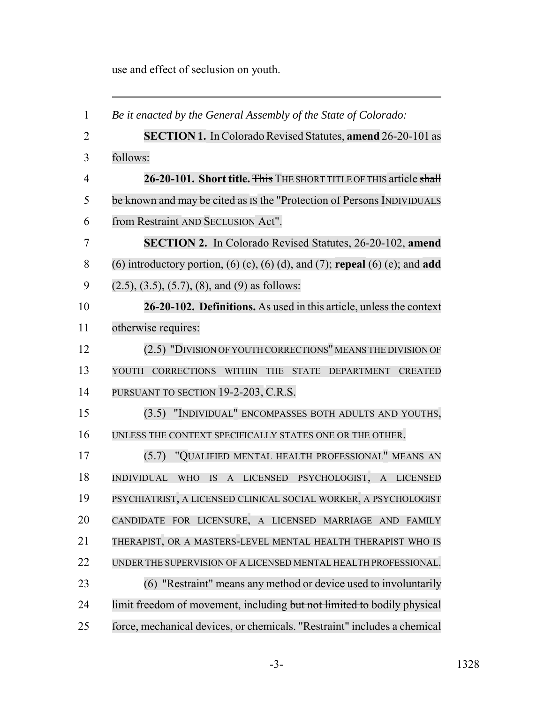use and effect of seclusion on youth.

| $\mathbf{1}$   | Be it enacted by the General Assembly of the State of Colorado:                |
|----------------|--------------------------------------------------------------------------------|
| $\overline{2}$ | <b>SECTION 1.</b> In Colorado Revised Statutes, amend 26-20-101 as             |
| 3              | follows:                                                                       |
| $\overline{4}$ | 26-20-101. Short title. This THE SHORT TITLE OF THIS article shall             |
| 5              | be known and may be cited as IS the "Protection of Persons INDIVIDUALS"        |
| 6              | from Restraint AND SECLUSION Act".                                             |
| 7              | <b>SECTION 2.</b> In Colorado Revised Statutes, 26-20-102, amend               |
| 8              | (6) introductory portion, (6) (c), (6) (d), and (7); repeal (6) (e); and add   |
| 9              | $(2.5)$ , $(3.5)$ , $(5.7)$ , $(8)$ , and $(9)$ as follows:                    |
| 10             | 26-20-102. Definitions. As used in this article, unless the context            |
| 11             | otherwise requires:                                                            |
| 12             | (2.5) "DIVISION OF YOUTH CORRECTIONS" MEANS THE DIVISION OF                    |
| 13             | CORRECTIONS WITHIN THE STATE DEPARTMENT CREATED<br>YOUTH                       |
| 14             | PURSUANT TO SECTION 19-2-203, C.R.S.                                           |
| 15             | (3.5) "INDIVIDUAL" ENCOMPASSES BOTH ADULTS AND YOUTHS,                         |
| 16             | UNLESS THE CONTEXT SPECIFICALLY STATES ONE OR THE OTHER.                       |
| 17             | "QUALIFIED MENTAL HEALTH PROFESSIONAL" MEANS AN<br>(5.7)                       |
| 18             | A LICENSED PSYCHOLOGIST, A LICENSED<br><b>INDIVIDUAL</b><br><b>WHO</b><br>IS - |
| 19             | PSYCHIATRIST, A LICENSED CLINICAL SOCIAL WORKER, A PSYCHOLOGIST                |
| 20             | CANDIDATE FOR LICENSURE, A LICENSED MARRIAGE AND FAMILY                        |
| 21             | THERAPIST, OR A MASTERS-LEVEL MENTAL HEALTH THERAPIST WHO IS                   |
| 22             | UNDER THE SUPERVISION OF A LICENSED MENTAL HEALTH PROFESSIONAL.                |
| 23             | (6) "Restraint" means any method or device used to involuntarily               |
| 24             | limit freedom of movement, including but not limited to bodily physical        |
| 25             | force, mechanical devices, or chemicals. "Restraint" includes a chemical       |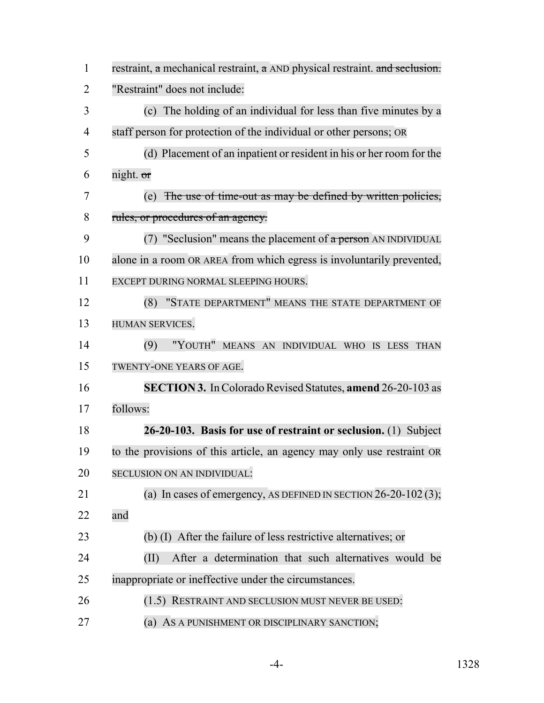| $\mathbf{1}$   | restraint, a mechanical restraint, a AND physical restraint. and seclusion. |
|----------------|-----------------------------------------------------------------------------|
| $\overline{2}$ | "Restraint" does not include:                                               |
| 3              | The holding of an individual for less than five minutes by a<br>(c)         |
| $\overline{4}$ | staff person for protection of the individual or other persons; OR          |
| 5              | (d) Placement of an inpatient or resident in his or her room for the        |
| 6              | night. or                                                                   |
| 7              | The use of time-out as may be defined by written policies,<br>(e)           |
| 8              | rules, or procedures of an agency.                                          |
| 9              | (7) "Seclusion" means the placement of $\alpha$ person AN INDIVIDUAL        |
| 10             | alone in a room OR AREA from which egress is involuntarily prevented,       |
| 11             | EXCEPT DURING NORMAL SLEEPING HOURS.                                        |
| 12             | "STATE DEPARTMENT" MEANS THE STATE DEPARTMENT OF<br>(8)                     |
| 13             | HUMAN SERVICES.                                                             |
| 14             | "YOUTH" MEANS AN INDIVIDUAL WHO IS LESS<br>(9)<br><b>THAN</b>               |
| 15             | TWENTY-ONE YEARS OF AGE.                                                    |
| 16             | <b>SECTION 3.</b> In Colorado Revised Statutes, amend 26-20-103 as          |
| 17             | follows:                                                                    |
| 18             | 26-20-103. Basis for use of restraint or seclusion. (1) Subject             |
| 19             | to the provisions of this article, an agency may only use restraint OR      |
| 20             | SECLUSION ON AN INDIVIDUAL:                                                 |
| 21             | (a) In cases of emergency, AS DEFINED IN SECTION $26-20-102(3)$ ;           |
| 22             | and                                                                         |
| 23             | (b) (I) After the failure of less restrictive alternatives; or              |
| 24             | After a determination that such alternatives would be<br>(II)               |
| 25             | inappropriate or ineffective under the circumstances.                       |
| 26             | (1.5) RESTRAINT AND SECLUSION MUST NEVER BE USED:                           |
| 27             | AS A PUNISHMENT OR DISCIPLINARY SANCTION;<br>(a)                            |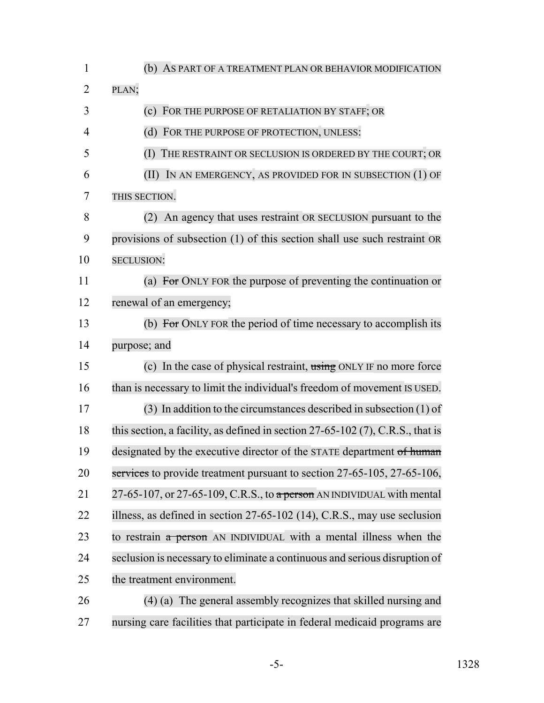| $\mathbf{1}$   | (b) AS PART OF A TREATMENT PLAN OR BEHAVIOR MODIFICATION                         |
|----------------|----------------------------------------------------------------------------------|
| $\overline{2}$ | PLAN;                                                                            |
| 3              | FOR THE PURPOSE OF RETALIATION BY STAFF; OR<br>(c)                               |
| $\overline{4}$ | FOR THE PURPOSE OF PROTECTION, UNLESS:<br>(d)                                    |
| 5              | THE RESTRAINT OR SECLUSION IS ORDERED BY THE COURT; OR<br>(I)                    |
| 6              | IN AN EMERGENCY, AS PROVIDED FOR IN SUBSECTION (1) OF<br>(II)                    |
| 7              | THIS SECTION.                                                                    |
| 8              | (2) An agency that uses restraint OR SECLUSION pursuant to the                   |
| 9              | provisions of subsection (1) of this section shall use such restraint OR         |
| 10             | <b>SECLUSION:</b>                                                                |
| 11             | (a) For ONLY FOR the purpose of preventing the continuation or                   |
| 12             | renewal of an emergency;                                                         |
| 13             | (b) For ONLY FOR the period of time necessary to accomplish its                  |
| 14             | purpose; and                                                                     |
| 15             | (c) In the case of physical restraint, $\frac{1}{100}$ ONLY IF no more force     |
| 16             | than is necessary to limit the individual's freedom of movement IS USED.         |
| 17             | $(3)$ In addition to the circumstances described in subsection $(1)$ of          |
| 18             | this section, a facility, as defined in section $27-65-102$ (7), C.R.S., that is |
| 19             | designated by the executive director of the STATE department of human            |
| 20             | services to provide treatment pursuant to section 27-65-105, 27-65-106,          |
| 21             | 27-65-107, or 27-65-109, C.R.S., to $a$ person AN INDIVIDUAL with mental         |
| 22             | illness, as defined in section 27-65-102 (14), C.R.S., may use seclusion         |
| 23             | to restrain a person AN INDIVIDUAL with a mental illness when the                |
| 24             | seclusion is necessary to eliminate a continuous and serious disruption of       |
| 25             | the treatment environment.                                                       |
| 26             | (4) (a) The general assembly recognizes that skilled nursing and                 |
| 27             | nursing care facilities that participate in federal medicaid programs are        |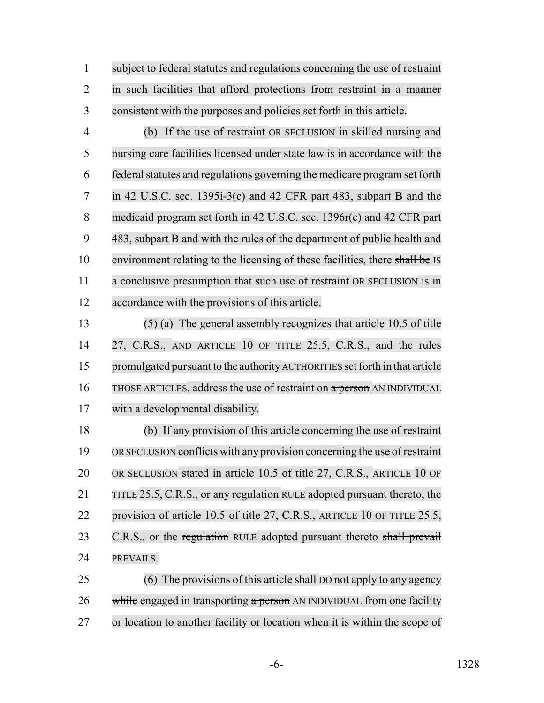subject to federal statutes and regulations concerning the use of restraint in such facilities that afford protections from restraint in a manner consistent with the purposes and policies set forth in this article.

 (b) If the use of restraint OR SECLUSION in skilled nursing and nursing care facilities licensed under state law is in accordance with the 6 federal statutes and regulations governing the medicare program set forth in 42 U.S.C. sec. 1395i-3(c) and 42 CFR part 483, subpart B and the medicaid program set forth in 42 U.S.C. sec. 1396r(c) and 42 CFR part 483, subpart B and with the rules of the department of public health and 10 environment relating to the licensing of these facilities, there shall be IS 11 a conclusive presumption that such use of restraint OR SECLUSION is in accordance with the provisions of this article.

 (5) (a) The general assembly recognizes that article 10.5 of title 27, C.R.S., AND ARTICLE 10 OF TITLE 25.5, C.R.S., and the rules 15 promulgated pursuant to the authority AUTHORITIES set forth in that article 16 THOSE ARTICLES, address the use of restraint on a person AN INDIVIDUAL with a developmental disability.

 (b) If any provision of this article concerning the use of restraint ORSECLUSION conflicts with any provision concerning the use of restraint OR SECLUSION stated in article 10.5 of title 27, C.R.S., ARTICLE 10 OF 21 TITLE 25.5, C.R.S., or any regulation RULE adopted pursuant thereto, the provision of article 10.5 of title 27, C.R.S., ARTICLE 10 OF TITLE 25.5, 23 C.R.S., or the regulation RULE adopted pursuant thereto shall prevail PREVAILS.

25 (6) The provisions of this article shall DO not apply to any agency 26 while engaged in transporting a person AN INDIVIDUAL from one facility or location to another facility or location when it is within the scope of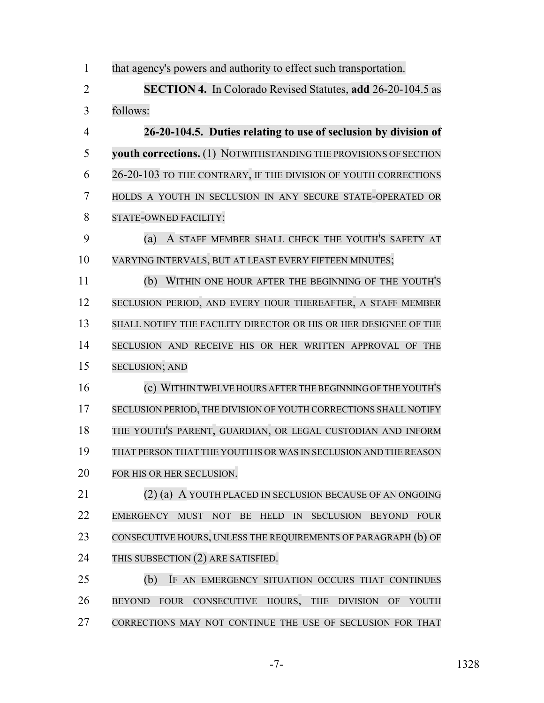that agency's powers and authority to effect such transportation.

 **SECTION 4.** In Colorado Revised Statutes, **add** 26-20-104.5 as follows:

 **26-20-104.5. Duties relating to use of seclusion by division of youth corrections.** (1) NOTWITHSTANDING THE PROVISIONS OF SECTION 26-20-103 TO THE CONTRARY, IF THE DIVISION OF YOUTH CORRECTIONS HOLDS A YOUTH IN SECLUSION IN ANY SECURE STATE-OPERATED OR STATE-OWNED FACILITY:

 (a) A STAFF MEMBER SHALL CHECK THE YOUTH'S SAFETY AT VARYING INTERVALS, BUT AT LEAST EVERY FIFTEEN MINUTES;

 (b) WITHIN ONE HOUR AFTER THE BEGINNING OF THE YOUTH'S 12 SECLUSION PERIOD, AND EVERY HOUR THEREAFTER, A STAFF MEMBER SHALL NOTIFY THE FACILITY DIRECTOR OR HIS OR HER DESIGNEE OF THE SECLUSION AND RECEIVE HIS OR HER WRITTEN APPROVAL OF THE SECLUSION; AND

 (c) WITHINTWELVE HOURS AFTERTHEBEGINNINGOFTHE YOUTH'S 17 SECLUSION PERIOD, THE DIVISION OF YOUTH CORRECTIONS SHALL NOTIFY THE YOUTH'S PARENT, GUARDIAN, OR LEGAL CUSTODIAN AND INFORM THAT PERSON THAT THE YOUTH IS OR WAS IN SECLUSION AND THE REASON FOR HIS OR HER SECLUSION.

 (2) (a) A YOUTH PLACED IN SECLUSION BECAUSE OF AN ONGOING EMERGENCY MUST NOT BE HELD IN SECLUSION BEYOND FOUR CONSECUTIVE HOURS, UNLESS THE REQUIREMENTS OF PARAGRAPH (b) OF THIS SUBSECTION (2) ARE SATISFIED.

 (b) IF AN EMERGENCY SITUATION OCCURS THAT CONTINUES BEYOND FOUR CONSECUTIVE HOURS, THE DIVISION OF YOUTH CORRECTIONS MAY NOT CONTINUE THE USE OF SECLUSION FOR THAT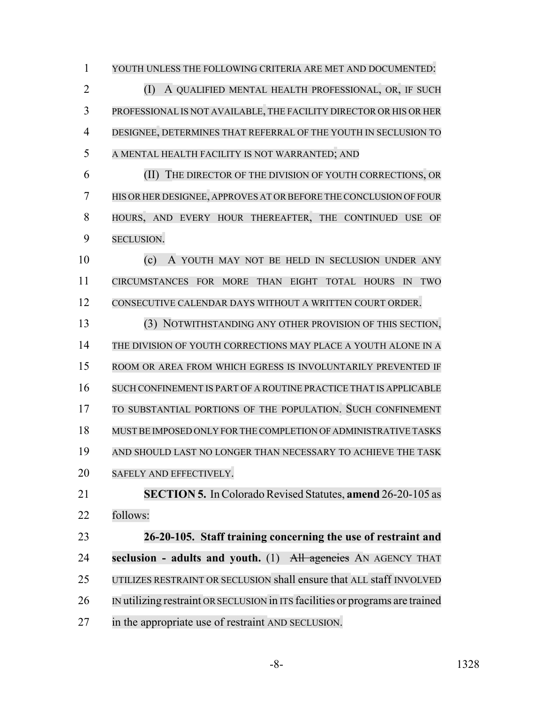YOUTH UNLESS THE FOLLOWING CRITERIA ARE MET AND DOCUMENTED: (I) A QUALIFIED MENTAL HEALTH PROFESSIONAL, OR, IF SUCH PROFESSIONAL IS NOT AVAILABLE, THE FACILITY DIRECTOR OR HIS OR HER DESIGNEE, DETERMINES THAT REFERRAL OF THE YOUTH IN SECLUSION TO A MENTAL HEALTH FACILITY IS NOT WARRANTED; AND

 (II) THE DIRECTOR OF THE DIVISION OF YOUTH CORRECTIONS, OR 7 HIS OR HER DESIGNEE, APPROVES AT OR BEFORE THE CONCLUSION OF FOUR HOURS, AND EVERY HOUR THEREAFTER, THE CONTINUED USE OF SECLUSION.

 (c) A YOUTH MAY NOT BE HELD IN SECLUSION UNDER ANY CIRCUMSTANCES FOR MORE THAN EIGHT TOTAL HOURS IN TWO CONSECUTIVE CALENDAR DAYS WITHOUT A WRITTEN COURT ORDER.

 (3) NOTWITHSTANDING ANY OTHER PROVISION OF THIS SECTION, THE DIVISION OF YOUTH CORRECTIONS MAY PLACE A YOUTH ALONE IN A ROOM OR AREA FROM WHICH EGRESS IS INVOLUNTARILY PREVENTED IF SUCH CONFINEMENT IS PART OF A ROUTINE PRACTICE THAT IS APPLICABLE TO SUBSTANTIAL PORTIONS OF THE POPULATION. SUCH CONFINEMENT MUST BE IMPOSED ONLY FORTHE COMPLETION OF ADMINISTRATIVE TASKS AND SHOULD LAST NO LONGER THAN NECESSARY TO ACHIEVE THE TASK SAFELY AND EFFECTIVELY. **SECTION 5.** In Colorado Revised Statutes, **amend** 26-20-105 as follows: **26-20-105. Staff training concerning the use of restraint and seclusion - adults and youth.** (1) All agencies AN AGENCY THAT

UTILIZES RESTRAINT OR SECLUSION shall ensure that ALL staff INVOLVED

IN utilizing restraint ORSECLUSION in ITS facilities or programs are trained

in the appropriate use of restraint AND SECLUSION.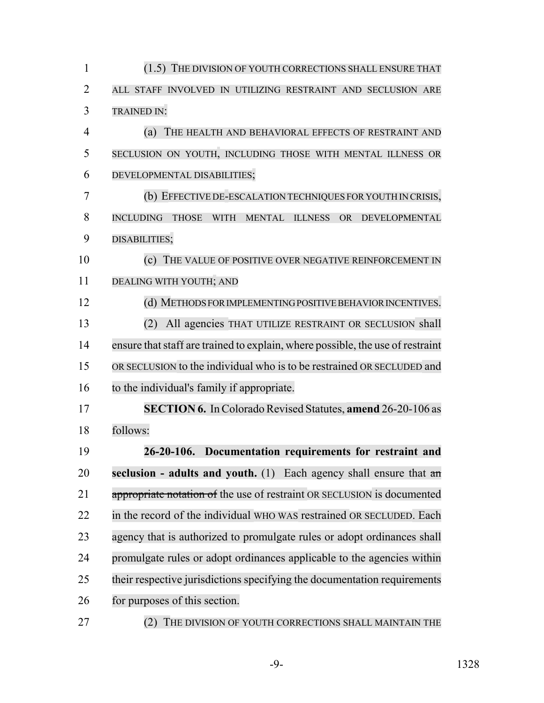| $\mathbf{1}$   | (1.5) THE DIVISION OF YOUTH CORRECTIONS SHALL ENSURE THAT                                                        |
|----------------|------------------------------------------------------------------------------------------------------------------|
| $\overline{2}$ | ALL STAFF INVOLVED IN UTILIZING RESTRAINT AND SECLUSION ARE                                                      |
| 3              | <b>TRAINED IN:</b>                                                                                               |
| 4              | (a)<br>THE HEALTH AND BEHAVIORAL EFFECTS OF RESTRAINT AND                                                        |
| 5              | SECLUSION ON YOUTH, INCLUDING THOSE WITH MENTAL ILLNESS OR                                                       |
| 6              | DEVELOPMENTAL DISABILITIES;                                                                                      |
| 7              | (b) EFFECTIVE DE-ESCALATION TECHNIQUES FOR YOUTH IN CRISIS,                                                      |
| 8              | <b>INCLUDING</b><br><b>THOSE</b><br><b>WITH</b><br><b>MENTAL</b><br><b>ILLNESS</b><br><b>OR</b><br>DEVELOPMENTAL |
| 9              | DISABILITIES;                                                                                                    |
| 10             | THE VALUE OF POSITIVE OVER NEGATIVE REINFORCEMENT IN<br>(c)                                                      |
| 11             | DEALING WITH YOUTH; AND                                                                                          |
| 12             | (d) METHODS FOR IMPLEMENTING POSITIVE BEHAVIOR INCENTIVES.                                                       |
| 13             | All agencies THAT UTILIZE RESTRAINT OR SECLUSION shall<br>(2)                                                    |
| 14             | ensure that staff are trained to explain, where possible, the use of restraint                                   |
| 15             | OR SECLUSION to the individual who is to be restrained OR SECLUDED and                                           |
| 16             | to the individual's family if appropriate.                                                                       |
| 17             | <b>SECTION 6.</b> In Colorado Revised Statutes, amend 26-20-106 as                                               |
| 18             | follows:                                                                                                         |
| 19             | 26-20-106. Documentation requirements for restraint and                                                          |
| 20             | seclusion - adults and youth. (1) Each agency shall ensure that $a_n$                                            |
| 21             | appropriate notation of the use of restraint OR SECLUSION is documented                                          |
| 22             | in the record of the individual WHO WAS restrained OR SECLUDED. Each                                             |
| 23             | agency that is authorized to promulgate rules or adopt ordinances shall                                          |
| 24             | promulgate rules or adopt ordinances applicable to the agencies within                                           |
| 25             | their respective jurisdictions specifying the documentation requirements                                         |
| 26             | for purposes of this section.                                                                                    |
| 27             | THE DIVISION OF YOUTH CORRECTIONS SHALL MAINTAIN THE<br>(2)                                                      |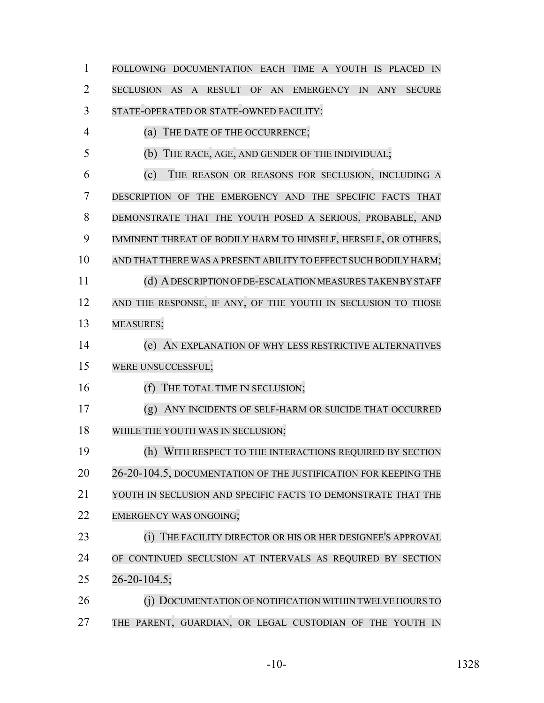FOLLOWING DOCUMENTATION EACH TIME A YOUTH IS PLACED IN SECLUSION AS A RESULT OF AN EMERGENCY IN ANY SECURE STATE-OPERATED OR STATE-OWNED FACILITY: (a) THE DATE OF THE OCCURRENCE; (b) THE RACE, AGE, AND GENDER OF THE INDIVIDUAL; (c) THE REASON OR REASONS FOR SECLUSION, INCLUDING A DESCRIPTION OF THE EMERGENCY AND THE SPECIFIC FACTS THAT DEMONSTRATE THAT THE YOUTH POSED A SERIOUS, PROBABLE, AND IMMINENT THREAT OF BODILY HARM TO HIMSELF, HERSELF, OR OTHERS, AND THAT THERE WAS A PRESENT ABILITY TO EFFECT SUCH BODILY HARM; (d) ADESCRIPTION OF DE-ESCALATIONMEASURESTAKENBYSTAFF 12 AND THE RESPONSE, IF ANY, OF THE YOUTH IN SECLUSION TO THOSE MEASURES; (e) AN EXPLANATION OF WHY LESS RESTRICTIVE ALTERNATIVES WERE UNSUCCESSFUL; 16 (f) THE TOTAL TIME IN SECLUSION; (g) ANY INCIDENTS OF SELF-HARM OR SUICIDE THAT OCCURRED 18 WHILE THE YOUTH WAS IN SECLUSION; (h) WITH RESPECT TO THE INTERACTIONS REQUIRED BY SECTION 20 26-20-104.5, DOCUMENTATION OF THE JUSTIFICATION FOR KEEPING THE YOUTH IN SECLUSION AND SPECIFIC FACTS TO DEMONSTRATE THAT THE 22 EMERGENCY WAS ONGOING; **(i) THE FACILITY DIRECTOR OR HIS OR HER DESIGNEE'S APPROVAL**  OF CONTINUED SECLUSION AT INTERVALS AS REQUIRED BY SECTION 26-20-104.5; 26 (i) DOCUMENTATION OF NOTIFICATION WITHIN TWELVE HOURS TO 27 THE PARENT, GUARDIAN, OR LEGAL CUSTODIAN OF THE YOUTH IN

-10- 1328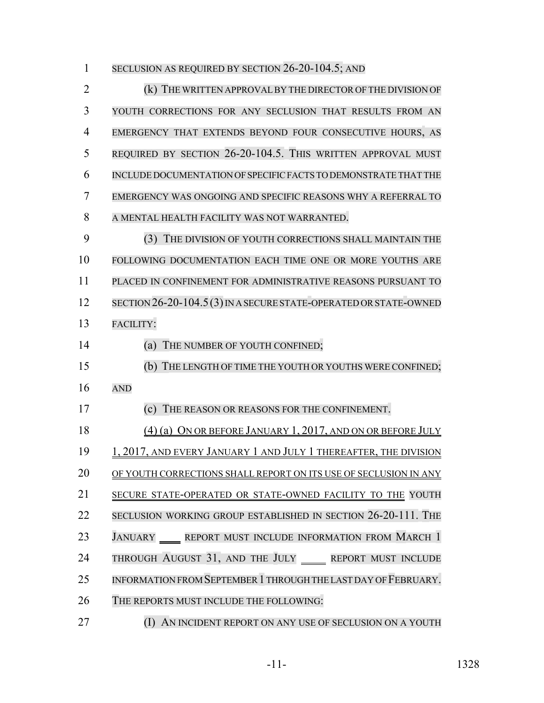1 SECLUSION AS REQUIRED BY SECTION 26-20-104.5; AND

 (k) THE WRITTEN APPROVALBY THE DIRECTOR OF THE DIVISION OF YOUTH CORRECTIONS FOR ANY SECLUSION THAT RESULTS FROM AN EMERGENCY THAT EXTENDS BEYOND FOUR CONSECUTIVE HOURS, AS REQUIRED BY SECTION 26-20-104.5. THIS WRITTEN APPROVAL MUST INCLUDE DOCUMENTATION OF SPECIFIC FACTS TO DEMONSTRATE THAT THE EMERGENCY WAS ONGOING AND SPECIFIC REASONS WHY A REFERRAL TO A MENTAL HEALTH FACILITY WAS NOT WARRANTED. (3) THE DIVISION OF YOUTH CORRECTIONS SHALL MAINTAIN THE FOLLOWING DOCUMENTATION EACH TIME ONE OR MORE YOUTHS ARE PLACED IN CONFINEMENT FOR ADMINISTRATIVE REASONS PURSUANT TO 12 SECTION 26-20-104.5(3) IN A SECURE STATE-OPERATED OR STATE-OWNED FACILITY: 14 (a) THE NUMBER OF YOUTH CONFINED; (b) THE LENGTH OF TIME THE YOUTH OR YOUTHS WERE CONFINED; AND (c) THE REASON OR REASONS FOR THE CONFINEMENT. 18 (4) (a) ON OR BEFORE JANUARY 1, 2017, AND ON OR BEFORE JULY 19 1, 2017, AND EVERY JANUARY 1 AND JULY 1 THEREAFTER, THE DIVISION OF YOUTH CORRECTIONS SHALL REPORT ON ITS USE OF SECLUSION IN ANY SECURE STATE-OPERATED OR STATE-OWNED FACILITY TO THE YOUTH SECLUSION WORKING GROUP ESTABLISHED IN SECTION 26-20-111. THE 23 JANUARY REPORT MUST INCLUDE INFORMATION FROM MARCH 1 24 THROUGH AUGUST 31, AND THE JULY REPORT MUST INCLUDE INFORMATION FROM SEPTEMBER 1 THROUGH THE LAST DAY OF FEBRUARY. THE REPORTS MUST INCLUDE THE FOLLOWING: **(I) AN INCIDENT REPORT ON ANY USE OF SECLUSION ON A YOUTH**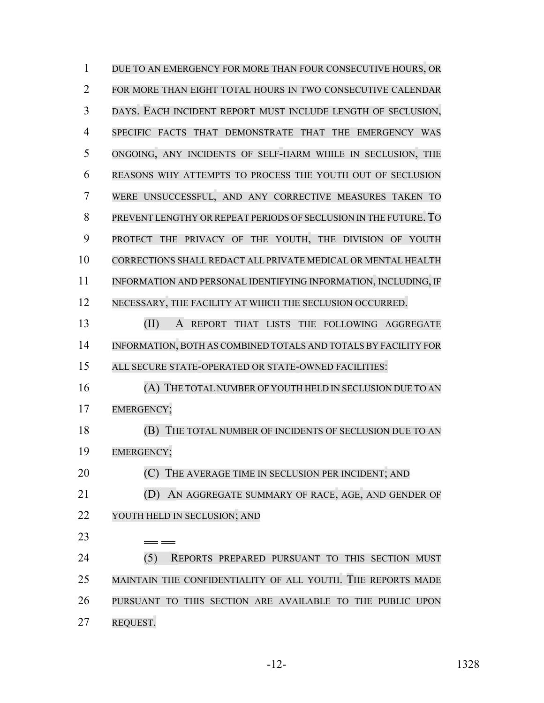DUE TO AN EMERGENCY FOR MORE THAN FOUR CONSECUTIVE HOURS, OR FOR MORE THAN EIGHT TOTAL HOURS IN TWO CONSECUTIVE CALENDAR DAYS. EACH INCIDENT REPORT MUST INCLUDE LENGTH OF SECLUSION, SPECIFIC FACTS THAT DEMONSTRATE THAT THE EMERGENCY WAS ONGOING, ANY INCIDENTS OF SELF-HARM WHILE IN SECLUSION, THE REASONS WHY ATTEMPTS TO PROCESS THE YOUTH OUT OF SECLUSION WERE UNSUCCESSFUL, AND ANY CORRECTIVE MEASURES TAKEN TO PREVENT LENGTHY OR REPEAT PERIODS OF SECLUSION IN THE FUTURE. TO PROTECT THE PRIVACY OF THE YOUTH, THE DIVISION OF YOUTH CORRECTIONS SHALL REDACT ALL PRIVATE MEDICAL OR MENTAL HEALTH INFORMATION AND PERSONAL IDENTIFYING INFORMATION, INCLUDING, IF NECESSARY, THE FACILITY AT WHICH THE SECLUSION OCCURRED. 13 (II) A REPORT THAT LISTS THE FOLLOWING AGGREGATE INFORMATION, BOTH AS COMBINED TOTALS AND TOTALS BY FACILITY FOR ALL SECURE STATE-OPERATED OR STATE-OWNED FACILITIES: (A) THE TOTAL NUMBER OF YOUTH HELD IN SECLUSION DUE TO AN EMERGENCY; (B) THE TOTAL NUMBER OF INCIDENTS OF SECLUSION DUE TO AN EMERGENCY; **(C)** THE AVERAGE TIME IN SECLUSION PER INCIDENT; AND (D) AN AGGREGATE SUMMARY OF RACE, AGE, AND GENDER OF YOUTH HELD IN SECLUSION; AND (5) REPORTS PREPARED PURSUANT TO THIS SECTION MUST MAINTAIN THE CONFIDENTIALITY OF ALL YOUTH. THE REPORTS MADE PURSUANT TO THIS SECTION ARE AVAILABLE TO THE PUBLIC UPON REQUEST.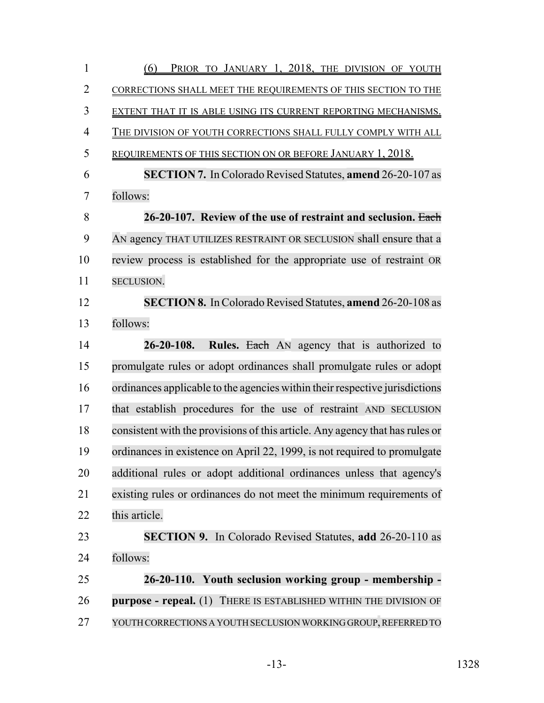| PRIOR TO JANUARY 1, 2018, THE DIVISION OF YOUTH<br>(6)                       |
|------------------------------------------------------------------------------|
| CORRECTIONS SHALL MEET THE REQUIREMENTS OF THIS SECTION TO THE               |
| EXTENT THAT IT IS ABLE USING ITS CURRENT REPORTING MECHANISMS.               |
| THE DIVISION OF YOUTH CORRECTIONS SHALL FULLY COMPLY WITH ALL                |
| REQUIREMENTS OF THIS SECTION ON OR BEFORE JANUARY 1, 2018.                   |
| <b>SECTION 7.</b> In Colorado Revised Statutes, <b>amend</b> 26-20-107 as    |
| follows:                                                                     |
| 26-20-107. Review of the use of restraint and seclusion. Each                |
| AN agency THAT UTILIZES RESTRAINT OR SECLUSION shall ensure that a           |
| review process is established for the appropriate use of restraint OR        |
| SECLUSION.                                                                   |
| <b>SECTION 8.</b> In Colorado Revised Statutes, <b>amend</b> 26-20-108 as    |
| follows:                                                                     |
| Rules. Each AN agency that is authorized to<br>$26 - 20 - 108.$              |
| promulgate rules or adopt ordinances shall promulgate rules or adopt         |
| ordinances applicable to the agencies within their respective jurisdictions  |
| that establish procedures for the use of restraint AND SECLUSION             |
| consistent with the provisions of this article. Any agency that has rules or |
| ordinances in existence on April 22, 1999, is not required to promulgate     |
| additional rules or adopt additional ordinances unless that agency's         |
| existing rules or ordinances do not meet the minimum requirements of         |
| this article.                                                                |
| <b>SECTION 9.</b> In Colorado Revised Statutes, add 26-20-110 as             |
| follows:                                                                     |
| 26-20-110. Youth seclusion working group - membership -                      |
| purpose - repeal. (1) THERE IS ESTABLISHED WITHIN THE DIVISION OF            |
| YOUTH CORRECTIONS A YOUTH SECLUSION WORKING GROUP, REFERRED TO               |
|                                                                              |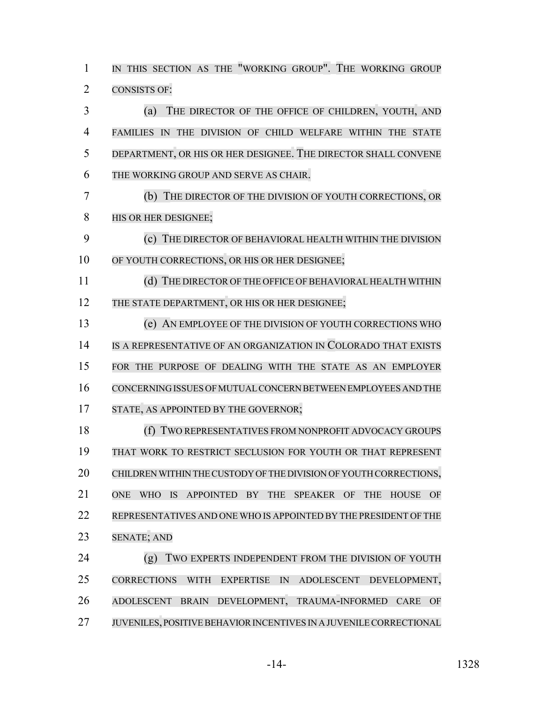1 IN THIS SECTION AS THE "WORKING GROUP". THE WORKING GROUP CONSISTS OF: (a) THE DIRECTOR OF THE OFFICE OF CHILDREN, YOUTH, AND FAMILIES IN THE DIVISION OF CHILD WELFARE WITHIN THE STATE DEPARTMENT, OR HIS OR HER DESIGNEE. THE DIRECTOR SHALL CONVENE THE WORKING GROUP AND SERVE AS CHAIR. (b) THE DIRECTOR OF THE DIVISION OF YOUTH CORRECTIONS, OR 8 HIS OR HER DESIGNEE; (c) THE DIRECTOR OF BEHAVIORAL HEALTH WITHIN THE DIVISION OF YOUTH CORRECTIONS, OR HIS OR HER DESIGNEE; 11 (d) THE DIRECTOR OF THE OFFICE OF BEHAVIORAL HEALTH WITHIN 12 THE STATE DEPARTMENT, OR HIS OR HER DESIGNEE; (e) AN EMPLOYEE OF THE DIVISION OF YOUTH CORRECTIONS WHO IS A REPRESENTATIVE OF AN ORGANIZATION IN COLORADO THAT EXISTS FOR THE PURPOSE OF DEALING WITH THE STATE AS AN EMPLOYER CONCERNING ISSUES OFMUTUAL CONCERN BETWEEN EMPLOYEES AND THE 17 STATE, AS APPOINTED BY THE GOVERNOR; (f) TWO REPRESENTATIVES FROM NONPROFIT ADVOCACY GROUPS THAT WORK TO RESTRICT SECLUSION FOR YOUTH OR THAT REPRESENT CHILDREN WITHIN THE CUSTODY OF THE DIVISION OF YOUTH CORRECTIONS, ONE WHO IS APPOINTED BY THE SPEAKER OF THE HOUSE OF REPRESENTATIVES AND ONE WHO IS APPOINTED BY THE PRESIDENT OF THE SENATE; AND 24 (g) TWO EXPERTS INDEPENDENT FROM THE DIVISION OF YOUTH CORRECTIONS WITH EXPERTISE IN ADOLESCENT DEVELOPMENT, ADOLESCENT BRAIN DEVELOPMENT, TRAUMA-INFORMED CARE OF JUVENILES, POSITIVE BEHAVIOR INCENTIVES IN A JUVENILE CORRECTIONAL

-14- 1328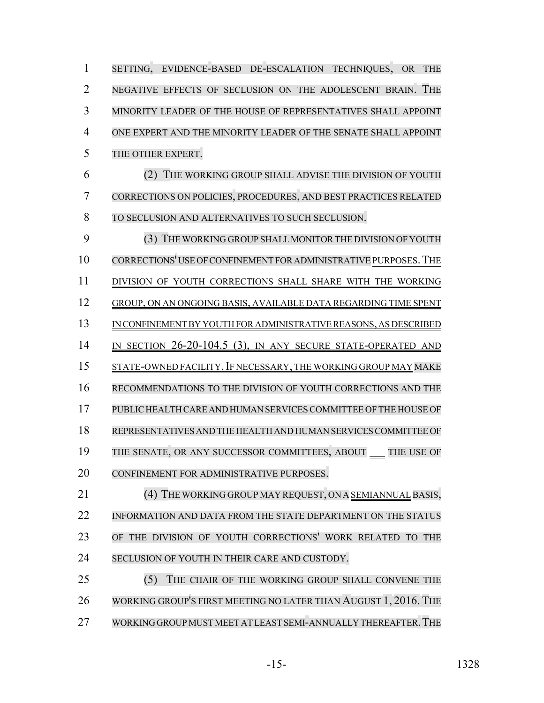SETTING, EVIDENCE-BASED DE-ESCALATION TECHNIQUES, OR THE NEGATIVE EFFECTS OF SECLUSION ON THE ADOLESCENT BRAIN. THE MINORITY LEADER OF THE HOUSE OF REPRESENTATIVES SHALL APPOINT ONE EXPERT AND THE MINORITY LEADER OF THE SENATE SHALL APPOINT THE OTHER EXPERT. (2) THE WORKING GROUP SHALL ADVISE THE DIVISION OF YOUTH CORRECTIONS ON POLICIES, PROCEDURES, AND BEST PRACTICES RELATED TO SECLUSION AND ALTERNATIVES TO SUCH SECLUSION. 9 (3) THE WORKING GROUP SHALL MONITOR THE DIVISION OF YOUTH CORRECTIONS' USE OF CONFINEMENT FOR ADMINISTRATIVE PURPOSES.THE 11 DIVISION OF YOUTH CORRECTIONS SHALL SHARE WITH THE WORKING GROUP, ON AN ONGOING BASIS, AVAILABLE DATA REGARDING TIME SPENT IN CONFINEMENT BY YOUTH FOR ADMINISTRATIVE REASONS, AS DESCRIBED 14 IN SECTION 26-20-104.5 (3), IN ANY SECURE STATE-OPERATED AND 15 STATE-OWNED FACILITY. IF NECESSARY, THE WORKING GROUP MAY MAKE RECOMMENDATIONS TO THE DIVISION OF YOUTH CORRECTIONS AND THE PUBLIC HEALTH CARE AND HUMAN SERVICES COMMITTEE OF THE HOUSE OF REPRESENTATIVES AND THE HEALTH AND HUMAN SERVICES COMMITTEE OF 19 THE SENATE, OR ANY SUCCESSOR COMMITTEES, ABOUT THE USE OF CONFINEMENT FOR ADMINISTRATIVE PURPOSES. 21 (4) THE WORKING GROUP MAY REQUEST, ON A SEMIANNUAL BASIS, INFORMATION AND DATA FROM THE STATE DEPARTMENT ON THE STATUS OF THE DIVISION OF YOUTH CORRECTIONS' WORK RELATED TO THE 24 SECLUSION OF YOUTH IN THEIR CARE AND CUSTODY. (5) THE CHAIR OF THE WORKING GROUP SHALL CONVENE THE WORKING GROUP'S FIRST MEETING NO LATER THAN AUGUST 1, 2016. THE

27 WORKING GROUP MUST MEET AT LEAST SEMI-ANNUALLY THEREAFTER. THE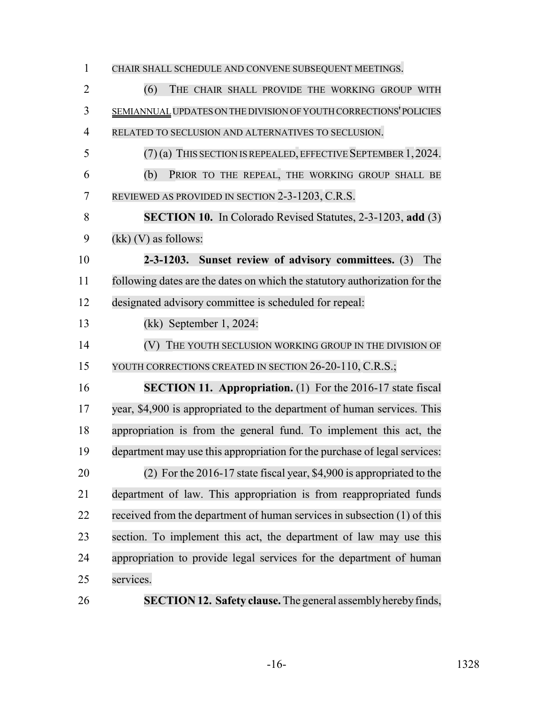| $\mathbf{1}$   | CHAIR SHALL SCHEDULE AND CONVENE SUBSEQUENT MEETINGS.                      |
|----------------|----------------------------------------------------------------------------|
| $\overline{2}$ | (6)<br>THE CHAIR SHALL PROVIDE THE WORKING GROUP WITH                      |
| 3              | SEMIANNUAL UPDATES ON THE DIVISION OF YOUTH CORRECTIONS' POLICIES          |
| $\overline{4}$ | RELATED TO SECLUSION AND ALTERNATIVES TO SECLUSION.                        |
| 5              | $(7)$ (a) THIS SECTION IS REPEALED, EFFECTIVE SEPTEMBER 1, 2024.           |
| 6              | (b)<br>PRIOR TO THE REPEAL, THE WORKING GROUP SHALL BE                     |
| 7              | REVIEWED AS PROVIDED IN SECTION 2-3-1203, C.R.S.                           |
| 8              | <b>SECTION 10.</b> In Colorado Revised Statutes, 2-3-1203, add (3)         |
| 9              | $(kk)$ (V) as follows:                                                     |
| 10             | 2-3-1203. Sunset review of advisory committees. (3)<br>The                 |
| 11             | following dates are the dates on which the statutory authorization for the |
| 12             | designated advisory committee is scheduled for repeal:                     |
| 13             | $(kk)$ September 1, 2024:                                                  |
| 14             | (V) THE YOUTH SECLUSION WORKING GROUP IN THE DIVISION OF                   |
| 15             | YOUTH CORRECTIONS CREATED IN SECTION 26-20-110, C.R.S.;                    |
| 16             | <b>SECTION 11. Appropriation.</b> (1) For the 2016-17 state fiscal         |
| 17             | year, \$4,900 is appropriated to the department of human services. This    |
| 18             | appropriation is from the general fund. To implement this act, the         |
| 19             | department may use this appropriation for the purchase of legal services:  |
| 20             | $(2)$ For the 2016-17 state fiscal year, \$4,900 is appropriated to the    |
| 21             | department of law. This appropriation is from reappropriated funds         |
| 22             | received from the department of human services in subsection (1) of this   |
| 23             | section. To implement this act, the department of law may use this         |
| 24             | appropriation to provide legal services for the department of human        |
| 25             | services.                                                                  |
| 26             | <b>SECTION 12. Safety clause.</b> The general assembly hereby finds,       |